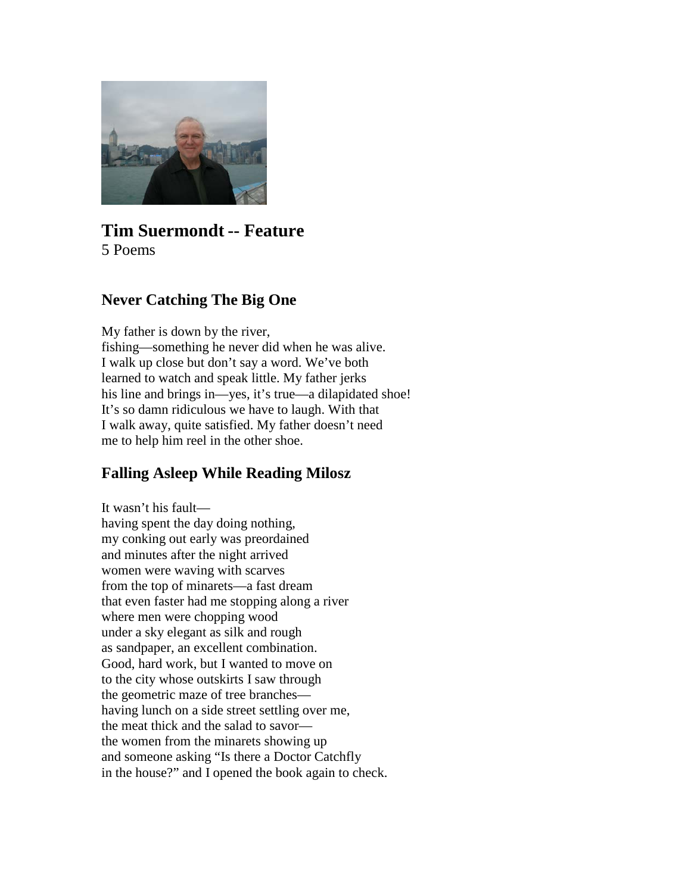

# **Tim Suermondt -- Feature** 5 Poems

### **Never Catching The Big One**

My father is down by the river, fishing—something he never did when he was alive. I walk up close but don't say a word. We've both learned to watch and speak little. My father jerks his line and brings in—yes, it's true—a dilapidated shoe! It's so damn ridiculous we have to laugh. With that I walk away, quite satisfied. My father doesn't need me to help him reel in the other shoe.

# **Falling Asleep While Reading Milosz**

It wasn't his fault having spent the day doing nothing, my conking out early was preordained and minutes after the night arrived women were waving with scarves from the top of minarets—a fast dream that even faster had me stopping along a river where men were chopping wood under a sky elegant as silk and rough as sandpaper, an excellent combination. Good, hard work, but I wanted to move on to the city whose outskirts I saw through the geometric maze of tree branches having lunch on a side street settling over me, the meat thick and the salad to savor the women from the minarets showing up and someone asking "Is there a Doctor Catchfly in the house?" and I opened the book again to check.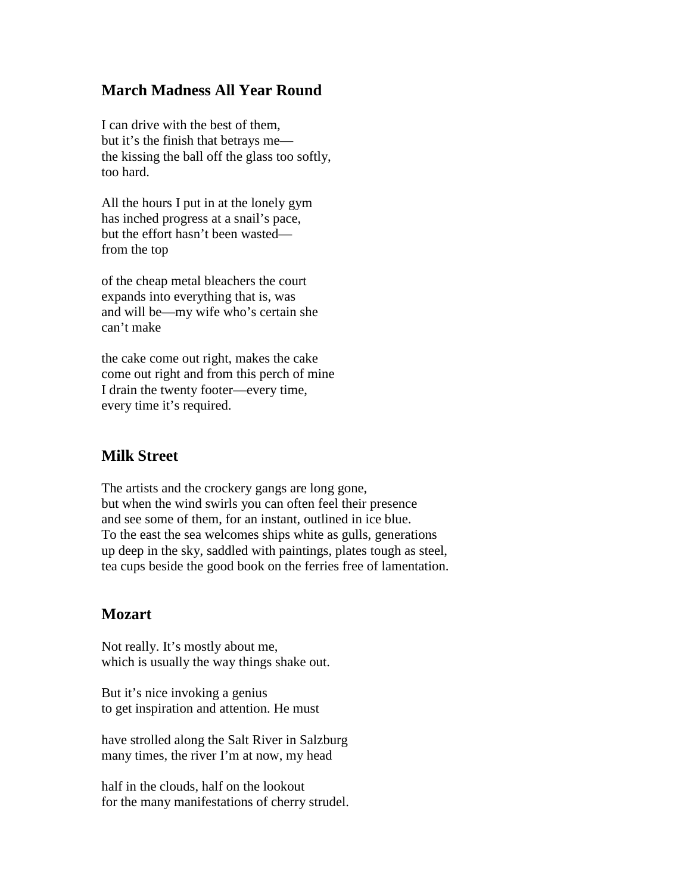### **March Madness All Year Round**

I can drive with the best of them, but it's the finish that betrays me the kissing the ball off the glass too softly, too hard.

All the hours I put in at the lonely gym has inched progress at a snail's pace, but the effort hasn't been wasted from the top

of the cheap metal bleachers the court expands into everything that is, was and will be—my wife who's certain she can't make

the cake come out right, makes the cake come out right and from this perch of mine I drain the twenty footer—every time, every time it's required.

### **Milk Street**

The artists and the crockery gangs are long gone, but when the wind swirls you can often feel their presence and see some of them, for an instant, outlined in ice blue. To the east the sea welcomes ships white as gulls, generations up deep in the sky, saddled with paintings, plates tough as steel, tea cups beside the good book on the ferries free of lamentation.

#### **Mozart**

Not really. It's mostly about me, which is usually the way things shake out.

But it's nice invoking a genius to get inspiration and attention. He must

have strolled along the Salt River in Salzburg many times, the river I'm at now, my head

half in the clouds, half on the lookout for the many manifestations of cherry strudel.